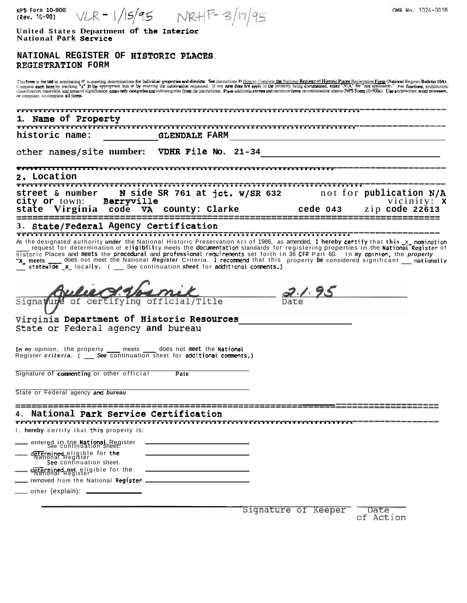| <b>NPS Form 10-900</b><br>$VLR = 1/15/95$ $NRH^{P-}3/17/$<br>(Rev. 10-90)                                                                                                                                                                                                                                                                                                                                                                                                                                                                                                                                                                                                                                                               | OMB No. 1024-0018       |
|-----------------------------------------------------------------------------------------------------------------------------------------------------------------------------------------------------------------------------------------------------------------------------------------------------------------------------------------------------------------------------------------------------------------------------------------------------------------------------------------------------------------------------------------------------------------------------------------------------------------------------------------------------------------------------------------------------------------------------------------|-------------------------|
| United States Department of the Interior<br>National Park Service                                                                                                                                                                                                                                                                                                                                                                                                                                                                                                                                                                                                                                                                       |                         |
| NATIONAL REGISTER OF HISTORIC PLACES<br>REGISTRATION FORM                                                                                                                                                                                                                                                                                                                                                                                                                                                                                                                                                                                                                                                                               |                         |
| This form is for use in nominating or requesting determinations for individual properties and districts. See instructions in How to Complete the National Register of Historic Places Registration Form (National Registration<br>Complete each item by marking "x" in the appropriate box or by entering the information requested. If any nem coce not apply to the property being documented, enter "N/A" for "not applicable." For functions, architectural<br>classification, materials, and areas of significance, enter only categories and subcategories from the instructions. Place additional entrea and marrative items on continuation sheets (NPS Form 10-900a). Use a typewriter,<br>re computer, to complete all items. |                         |
| Name of Property                                                                                                                                                                                                                                                                                                                                                                                                                                                                                                                                                                                                                                                                                                                        |                         |
| ,,,,,,,,,,,,,,,,,,,,,,,,,,,,,,,<br>historic name:<br><b>GLENDALE FARM</b>                                                                                                                                                                                                                                                                                                                                                                                                                                                                                                                                                                                                                                                               |                         |
| other names/site number: VDHR File No. 21-34                                                                                                                                                                                                                                                                                                                                                                                                                                                                                                                                                                                                                                                                                            |                         |
| , <del>,,,,,,,,,,,,,,,,,,,</del> ,,,,,,,,,,<br>2. Location                                                                                                                                                                                                                                                                                                                                                                                                                                                                                                                                                                                                                                                                              |                         |
| N side SR 761 at jct. W/SR 632                                                                                                                                                                                                                                                                                                                                                                                                                                                                                                                                                                                                                                                                                                          | not for publication N/A |
| street & number<br>Berryville<br>city or town:                                                                                                                                                                                                                                                                                                                                                                                                                                                                                                                                                                                                                                                                                          | vicinity: $x$           |
| state Virginia<br>county: Clarke<br>cede 043<br>code<br>VA.                                                                                                                                                                                                                                                                                                                                                                                                                                                                                                                                                                                                                                                                             | zip code 22613          |
| State/Federal Agency Certification                                                                                                                                                                                                                                                                                                                                                                                                                                                                                                                                                                                                                                                                                                      |                         |
| As the designated authority under the National Historic Preservation Act of 1986, as amended, I hereby certify that this x nomination<br>request for determination of eligibility meets the documentation standards for registering properties in the National Register of<br>Historic Places and meets the procedural and professional requirements set forth in 36 CFR Part 60. In my opinion, the property<br>x meets ___ does not meet the National Register Criteria. I recommend that this property be considered significant __ nationally<br>statewide x locally. ( _ See continuation sheet for additional comments.)                                                                                                          |                         |
|                                                                                                                                                                                                                                                                                                                                                                                                                                                                                                                                                                                                                                                                                                                                         |                         |
| 2.1.95<br>ying<br>Signature of certif                                                                                                                                                                                                                                                                                                                                                                                                                                                                                                                                                                                                                                                                                                   |                         |
| Virginia Department of Historic Resources<br>State or Federal agency and bureau                                                                                                                                                                                                                                                                                                                                                                                                                                                                                                                                                                                                                                                         |                         |
| In my opinion, the property _____ meets _____ does not meet the National<br>Register criteria. (See continuation sheet for additional comments.)                                                                                                                                                                                                                                                                                                                                                                                                                                                                                                                                                                                        |                         |
| Signature of <b>commenting</b> or other official<br>Pate                                                                                                                                                                                                                                                                                                                                                                                                                                                                                                                                                                                                                                                                                |                         |
| State or Federal agency and bureau                                                                                                                                                                                                                                                                                                                                                                                                                                                                                                                                                                                                                                                                                                      |                         |
| National Park Service Certification                                                                                                                                                                                                                                                                                                                                                                                                                                                                                                                                                                                                                                                                                                     |                         |
| I, <b>hereby</b> certify that this property is:                                                                                                                                                                                                                                                                                                                                                                                                                                                                                                                                                                                                                                                                                         |                         |
| entered in the National Register<br>See continuation sheet.<br>determined eligible for the<br>National Register                                                                                                                                                                                                                                                                                                                                                                                                                                                                                                                                                                                                                         |                         |
| See continuation sheet.<br>determined not eligible for the                                                                                                                                                                                                                                                                                                                                                                                                                                                                                                                                                                                                                                                                              |                         |
| _ removed from the National R <b>egister __</b><br>_____ other (explain): __________                                                                                                                                                                                                                                                                                                                                                                                                                                                                                                                                                                                                                                                    |                         |
|                                                                                                                                                                                                                                                                                                                                                                                                                                                                                                                                                                                                                                                                                                                                         |                         |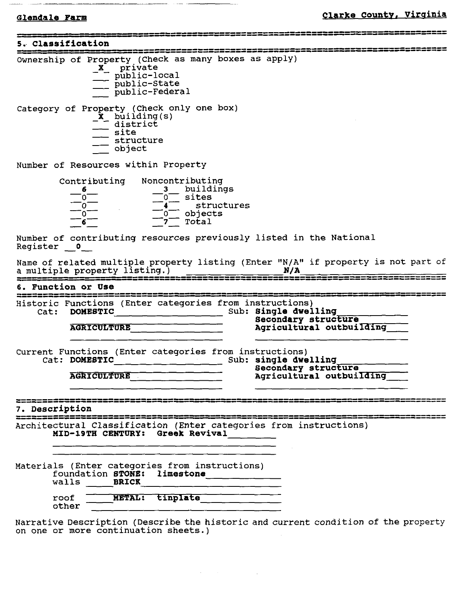- - -- --

**<sup>5</sup>**.. **Classification** ......................................................... ....................................................... Ownership - of Property (Check as many boxes as apply) roperty (Checl<br>**X**- private<br>- nublic-low ion<br>
don<br>
don<br>
roperty (Check as<br> **x** private<br>
public-local<br>
public-State<br>
public-Federa<br>
public-Federa ion<br>
roperty (Check as<br> **X** private<br>
public-local<br>
public-State<br>
public-Federal roperty (Check as manufactured manufactured manufactured manufactured manufactured manufactured manufactured ma<br>  $\frac{x}{\text{public}-\text{federal}}$  public-Federal<br>
manufactured manufactured manufactured manufactured manufactured manufactur Category of Property (Check only one box)<br>
- X building(s)<br>
district public-Sta<br>
public-Fee<br>
operty (Check<br>
X building (s<br>
district<br>
site<br>
structure - --. site - --<br>
operty (Check of<br>
X building(s)<br>
district<br>
site<br>
structure<br>
object<br>
and the structure<br>
structure operty (Checky)<br>
- object that<br>
- object<br>
- object<br>
- object<br>
- object<br>
- object<br>
- object<br>
- object<br>
- object Number of Resources within Property contributing Noncontributing  $\frac{6}{0}$   $\frac{3}{0}$  buildings  $\frac{\overline{\phantom{a}}}{\phantom{a}}$  0  $\frac{\overline{\phantom{a}}}{\phantom{a}}$  o  $\frac{\overline{\phantom{a}}}{\phantom{a}}$  sites  $\frac{\ }{2}$  0  $\frac{\ }{2}$  4 structures **-0-** -0- objects -- **-6- -7-** - - Total Number of contributing resources previously listed in the National  $\frac{1}{\sqrt{6}}$ <br>
Number of cont:<br>
Register  $\frac{0}{\sqrt{6}}$ Name of related multiple property listing (Enter "N/A" if property is not part of a multiple property listing.) -- - **N/A** .......................................................... .......................................................... **6. Function or US8** --- Historic Functions (Enter categories from instructions) Cat: DOMESTIC Sub: Single dwelling **Secondary structure AGRICULTURE Agricultural outbuilding** Current Functions (Enter categories from instructions) Cat: **DOMESTIC** Sub: **single dwelling**  *p*  **Secondary structure Agricultural outbuilding-7. Description** ............................. .............................. ................................ ---------------- ------------- Architectural Classification (Enter categories from instructions) **MID-19TH CENTURY: Greek Revival**  Materials (Enter categories from instructions) foundation **STONE: limestone**  walls **BRICK**  roof other X private and<br>
increased the politic state<br>
control (check only one box)<br>
control (check only one box)<br>
district (s)<br>
district (s)<br>
contributing<br>
states<br>
current interpret interpret interpret interpret interpret interpret

Narrative Description (Describe the historic and current condition of the property on one or more continuation sheets.)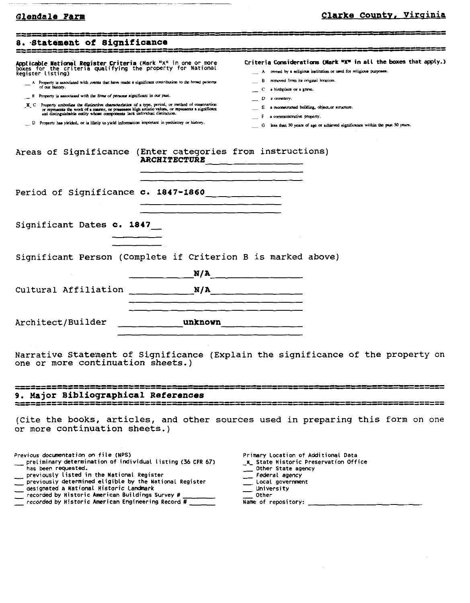# Glendale Farm

# Clarke County, Virginia

| 8. Statement of Significance<br>-------------------                                                                                                                                                                                                                                                                                                                                                                                                                                                                                                                                                                                                                                                                                                   |                                                                                                                                                                                                                                      |                                                                                                                                                                                                                                                                                                                                                                                                     |  |
|-------------------------------------------------------------------------------------------------------------------------------------------------------------------------------------------------------------------------------------------------------------------------------------------------------------------------------------------------------------------------------------------------------------------------------------------------------------------------------------------------------------------------------------------------------------------------------------------------------------------------------------------------------------------------------------------------------------------------------------------------------|--------------------------------------------------------------------------------------------------------------------------------------------------------------------------------------------------------------------------------------|-----------------------------------------------------------------------------------------------------------------------------------------------------------------------------------------------------------------------------------------------------------------------------------------------------------------------------------------------------------------------------------------------------|--|
| Applicable Mational Register Criteria (Mark "x" in one or more<br>boxes for the criteria qualifying the property for National<br>Register listing)<br>A Property is associated with events that have made a significant contribution to the broad patterns<br>of our butory.<br>B Property is associated with the lives of persons significant in our past.<br>X. C Property embodies the distinctive characteristics of a type, period, or method of construction<br>or represents the work of a master, or possesses high artistic values, or represents a significant<br>and distinguishable entity whose components lack individual distinction.<br>D Property has yielded, or is likely to yield information important in prehistory or history. |                                                                                                                                                                                                                                      | Criteria Considerations (Mark "X" in all the boxes that apply.)<br>owned by a religious institution or used for religious purposes.<br>removed from its original location.<br>a birthplace or a grave.<br>C.<br>D<br>a cean tery.<br>a reconstructed building, object, or structure.<br>a commemorative property.<br>G less than 50 years of age or achieved significance within the past 50 years. |  |
| Areas of Significance (Enter categories from instructions)                                                                                                                                                                                                                                                                                                                                                                                                                                                                                                                                                                                                                                                                                            | ARCHITECTURE                                                                                                                                                                                                                         |                                                                                                                                                                                                                                                                                                                                                                                                     |  |
| Period of Significance c. 1847-1860                                                                                                                                                                                                                                                                                                                                                                                                                                                                                                                                                                                                                                                                                                                   |                                                                                                                                                                                                                                      |                                                                                                                                                                                                                                                                                                                                                                                                     |  |
| Significant Dates c. 1847                                                                                                                                                                                                                                                                                                                                                                                                                                                                                                                                                                                                                                                                                                                             |                                                                                                                                                                                                                                      |                                                                                                                                                                                                                                                                                                                                                                                                     |  |
| Significant Person (Complete if Criterion B is marked above)                                                                                                                                                                                                                                                                                                                                                                                                                                                                                                                                                                                                                                                                                          |                                                                                                                                                                                                                                      | N/A                                                                                                                                                                                                                                                                                                                                                                                                 |  |
|                                                                                                                                                                                                                                                                                                                                                                                                                                                                                                                                                                                                                                                                                                                                                       | <u> 1965 - An Aonaic Aonaic Aonaic Aonaic Aonaic Aonaic Aonaic Aonaic Aonaic Aonaic Aonaic Aonaic Aonaic Aonaic Aonaic Aonaic Aonaic Aonaic Aonaic Aonaic Aonaic Aonaic Aonaic Aonaic Aonaic Aonaic Aonaic Aonaic Aonaic Aonaic </u> |                                                                                                                                                                                                                                                                                                                                                                                                     |  |
| Architect/Builder                                                                                                                                                                                                                                                                                                                                                                                                                                                                                                                                                                                                                                                                                                                                     |                                                                                                                                                                                                                                      | unknown                                                                                                                                                                                                                                                                                                                                                                                             |  |
| one or more continuation sheets.)                                                                                                                                                                                                                                                                                                                                                                                                                                                                                                                                                                                                                                                                                                                     |                                                                                                                                                                                                                                      | Narrative Statement of Significance (Explain the significance of the property on                                                                                                                                                                                                                                                                                                                    |  |
| 9. Major Bibliographical References                                                                                                                                                                                                                                                                                                                                                                                                                                                                                                                                                                                                                                                                                                                   |                                                                                                                                                                                                                                      |                                                                                                                                                                                                                                                                                                                                                                                                     |  |
| or more continuation sheets.)                                                                                                                                                                                                                                                                                                                                                                                                                                                                                                                                                                                                                                                                                                                         |                                                                                                                                                                                                                                      | (Cite the books, articles, and other sources used in preparing this form on one                                                                                                                                                                                                                                                                                                                     |  |
|                                                                                                                                                                                                                                                                                                                                                                                                                                                                                                                                                                                                                                                                                                                                                       |                                                                                                                                                                                                                                      |                                                                                                                                                                                                                                                                                                                                                                                                     |  |

| Previous documentation on file (NPS)                                                                  |  |
|-------------------------------------------------------------------------------------------------------|--|
| preliminary determination of individual listing (36 CFR 67)<br>has been requested.                    |  |
| previously listed in the National Register<br>previously determined eligible by the National Register |  |

- designated a National Historic Landmark
- 
- $\frac{1}{\sqrt{1-\frac{1}{2}}\sqrt{1-\frac{1}{2}}\sqrt{1-\frac{1}{2}}}}$  recorded by Historic American Buildings Survey #

| Primary Location of Additional Data            |
|------------------------------------------------|
| x State Historic Preservation Office           |
| Other State agency<br>$\overline{\phantom{0}}$ |
| Federal agency                                 |
| __ Local government                            |
| University<br>$\mathcal{L}^{\mathcal{L}}$      |
| Other                                          |
| Name of repository:                            |
|                                                |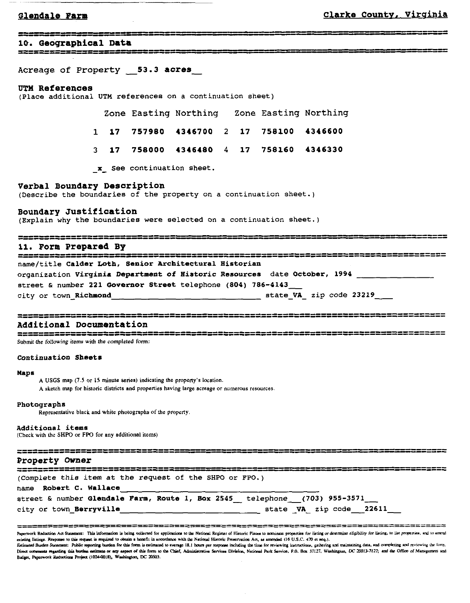### Glendale Farm

<u>یس پیدرس میں می</u>

# ------------------ ---- -

**10. Geographical Data** 

Acreage of Property **-53.3 acres** -

### **UTM References**

(Place additional UTM references on a continuation sheet)

|  |                                         |  | Zone Easting Northing Zone Easting Northing |
|--|-----------------------------------------|--|---------------------------------------------|
|  | 1 17 757980 4346700 2 17 758100 4346600 |  |                                             |
|  | 3 17 758000 4346480 4 17 758160 4346330 |  |                                             |
|  |                                         |  |                                             |

**-x-** See continuation sheet.

### **Verbal Boundary Description**

(Describe the boundaries of the property on a continuation sheet.)

**Boundary Justification** 

(Explain why the boundaries were selected on a continuation sheet.)

........................ ............................ - - ------- ------

**11. Form Prepared By** .......................................................................... ............................................................................ name/title Calder Loth, Senior Architectural Historian organization Virginia Dapartaent of Historic Resources date October, 1994 street & number 221 Governor Street telephone (804) 786-4143 city or town-Richmond state-VA- zip code 23219

# ............................................................................... ...............................................................................

**Additional Documentation** ............................................................................... .............................................................................. **Submit the following items with the completed form:** 

### Continuation Sheets

### Maps

**A USGS map (7.5 or 15 minute series) indicating the pmpeny's location. A sketch map for historic districts and properties having large acreage or numerous resources** 

### Photographs

Representative black and white photographs of the property.

### Additional items

**(Check with the SHPO or FPO for any additional items)** 

Representative black and white photographs of the property.<br> **Rdditional items**<br>
Check with the SHPO or FPO for any additional items<br> **Property Owner**<br>
<del>NEWS IN THE REPORT OF THE REPORT OF THE REPORT OF THE REPORT OF THE R</del> (Complete this item at the request of the SHPO or FPO.) name Robert C. Wallace

|  |                         |  |  | street & number Glendale Farm, Route 1, Box 2545 telephone (703) 955-3571 |  |                         |
|--|-------------------------|--|--|---------------------------------------------------------------------------|--|-------------------------|
|  | city or town Berryville |  |  |                                                                           |  | state VA zip code 22611 |

------ ~ -- -- -- -- - - -~ - -~ -- ~ **~pr~prk w- ~d SL.-:** ~bi. inf-im **i. brrm am(M im orpp1Y.h- no U.** slid **bulur of ~icaic ~h lo &u pmanh** *ta ly~ny* **mar- cliubsiry** *lox* Uuy. **lo lu! -nu, sni to -ni**  example of the state of the state of the state of the form is estimated to average 18.1 hours per response including the time for reviewing instructions, patternal Park Service Research and Park Service Research and Figure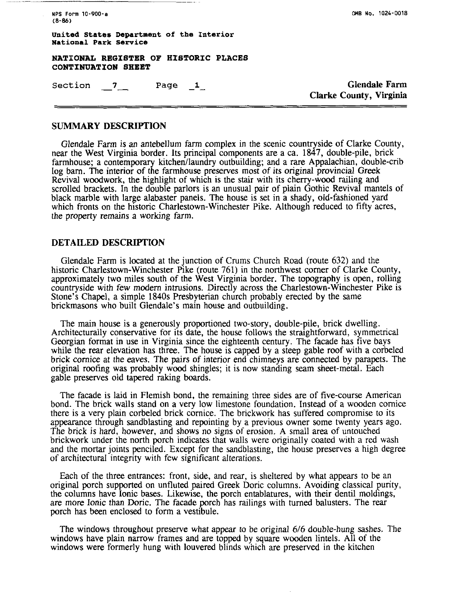|            | NPS Form 10-900-a |
|------------|-------------------|
| $(8 - 86)$ |                   |

**united States Department of the Interior National Park Service** 

**NATIONAL REGISTER OF HISTORIC PLACES CONTINUATION SHEET**  EXPLOWED RESISTER OF HISTORIC FUACES<br>
CONTINUATION SHEET<br>
Section \_\_7\_\_\_\_\_\_\_\_\_\_\_\_Page \_1\_\_\_\_\_\_\_\_\_\_\_\_\_\_\_\_\_\_\_\_\_\_\_Clarke County, Virginia

Clarke County, Virginia

## **SUMMARY DESCRIPTION**

Glendale Farm is an antebellum farm complex in the scenic countryside of Clarke County, near the West Virginia border. Its principal components are a ca. 1847, double-pile, brick farmhouse; a contemporary kitchen/laundry outbuilding; and a rare Appalachian, double-crib log barn. The interior of the farmhouse preserves most of its original provincial Greek Revival woodwork, the highlight of which is the stair with its cherry-wood railing and scrolled brackets. In the double parlors is an unusual pair of plain Gothic Revival mantels of black marble with large alabaster panels. The house is set in a shady, old-fashioned yard which fronts on the historic Charlestown-Winchester Pike. Although reduced to fifty acres, the property remains a working farm.

### **DETAILED DESCRIPTION**

Glendale Farm is located at the junction of Crums Church Road (route 632) and the historic Charlestown-Winchester Pike (route 761) in the northwest corner of Clarke County, approximately two miles south of the West Virginia border. The topography is open, rolling countryside with few modem intrusions. Directly across the Charlestown-Winchester Pike is Stone's Chapel, a simple 1840s Presbyterian church probably erected by the same brickmasons who built Glendale's main house and outbuilding.

The main house is a generously proportioned two-story, double-pile, brick dwelling. Architecturally conservative for its date, the house follows the straightforward, symmetrical Georgian format in use in Virginia since the eighteenth century. The facade has five bays while the rear elevation has three. The house is capped by a steep gable roof with a corbeled brick cornice at the eaves. The pairs of interior end chimneys are connected by parapets. The original roofing was probably wood shingles; it is now standing seam sheet-metal. Each gable preserves old tapered raking boards.

The facade is laid in Flemish bond, the remaining three sides are of five-course American bond. The brick walls stand on a very low limestone foundation. Instead of a wooden cornice there is a very plain corbeled brick cornice. The brickwork has suffered compromise to its appearance through sandblasting and repointing by a previous owner some twenty years ago. The brick is hard, however, and shows no signs of erosion. A small area of untouched brickwork under the north porch indicates that walls were originally coated with a red wash and the mortar joints penciled. Except for the sandblasting, the house preserves a high degree of architectural integrity with few significant alterations.

Each of the three entrances: front, side, and rear, is sheltered by what appears to be an original porch supported on unfluted paired Greek Doric columns. Avoiding classical purity, the columns have Ionic bases. Likewise, the porch entablatures, with their dentil moldings, are more Ionic than Doric. The facade porch has railings with turned balusters. The rear porch has been enclosed to form a vestibule.

The windows throughout preserve what appear to be original 6/6 double-hung sashes. The windows have plain narrow frames and are topped by square wooden lintels. All of the windows were formerly hung with louvered blinds which are preserved in the kitchen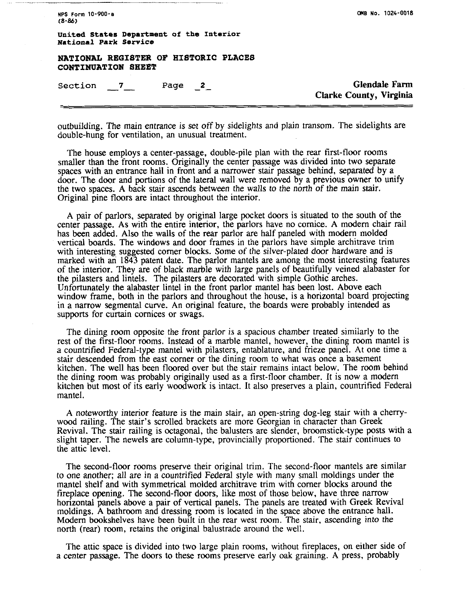**NPS Form 10-900-a 18-86)** 

**CUB No. 1024-0018** 

**United States Department of the Interior National Park Service** 

**NATIONAL REGISTER OF HISTORIC PLACES CONTINUATION SHEET SECUTE ANTIONAL EXAMPLE AND RESPONDENT SECUTE ASSESSED ASSESSED ASSESSED ASSESSED ASSESSED ASSESSED ASSESSED ASSESSED ASSESSED ASSESSED ASSESSED ASSESSED ASSESSED ASSESSED ASSESSED ASSESSED ASSESSED ASSESSED ASSESSED ASSE** 

**Clarke County, Virginia** 

outbuilding. The main entrance is set off by sidelights and plain transom. The sidelights are double-hung for ventilation, an unusual treatment.

The house employs a center-passage, double-pile plan with the rear first-floor rooms smaller than the front rooms. Originally the center passage was divided into two separate spaces with an entrance hall in front and a narrower stair passage behind, separated by a door. The door and portions of the lateral wall were removed by a previous owner to unify the two spaces. A back stair ascends between the walls to the north of the main stair. Original pine floors are intact throughout the interior.

A pair of parlors, separated by original large pocket doors is situated to the south of the center passage. As with the entire interior, the parlors have no cornice. A modem chair rail has been added. Also the walls of the rear parlor are half paneled with modem molded vertical boards. The windows and door frames in the parlors have simple architrave trim with interesting suggested comer blocks. Some of the silver-plated door hardware and is marked with an 1843 patent date. The parlor mantels are among the most interesting features of the interior. They are of black marble with large panels of beautifully veined alabaster for the pilasters and lintels. The pilasters are decorated with simple Gothic arches. Unfortunately the alabaster lintel in the front parlor mantel has been lost. Above each window frame, both in the parlors and throughout the house, is a horizontal board projecting in a narrow segmental curve. An original feature, the boards were probably intended as supports for curtain cornices or swags.

The dining room opposite the front parlor is a spacious chamber treated similarly to the rest of the first-floor rooms. Instead of a marble mantel, however, the dining room mantel is a countrified Federal-type mantel with pilasters, entablature, and frieze panel. At one time a stair descended from the east comer or the dining room to what was once a basement kitchen. The well has been floored over but the stair remains intact below. The room behind the dining room was probably originally used as a first-floor chamber. It is now a modem kitchen but most of its early woodwork is intact. It also preserves a plain, countrified Federal mantel.

A noteworthy interior feature is the main stair, an open-string dog-leg stair with a cherrywood railing. The stair's scrolled brackets are more Georgian in character than Greek Revival. The stair railing is octagonal, the balusters are slender, broomstick-type posts with a slight taper. The newels are column-type, provincially proportioned. The stair continues to the attic level.

The second-floor rooms preserve their original trim. The second-floor mantels are similar to one another; all are in a countrified Federal style with many small moldings under the mantel shelf and with symmetrical molded architrave trim with comer blocks around the fireplace opening. The second-floor doors, like most of those below, have three narrow horizontal panels above a pair of vertical panels. The panels are treated with Greek Revival moldings. A bathroom and dressing room is located in the space above the entrance hall. Modem bookshelves have been built in the rear west room. The stair, ascending into the north (rear) room, retains the original balustrade around the well.

The attic space is divided into two large plain rooms, without fireplaces, on either side of a center passage. The doors to these rooms preserve early oak graining. **A** press, probably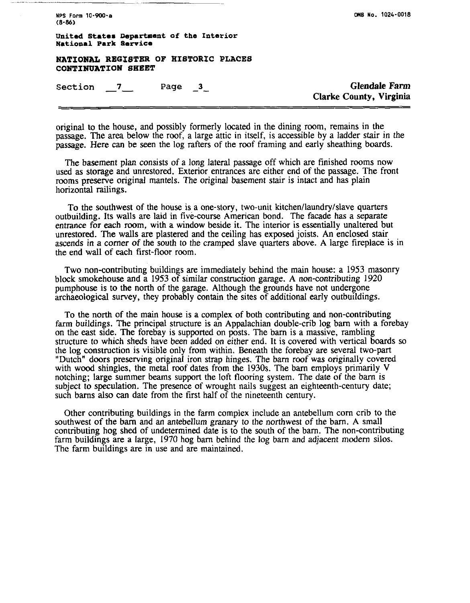**NPS Form 10-900-a (8-86)** 

**CM8 No. 1024-0018** 

**United States Department of the Interior National Park Service** 

**NATIONAL REGISTER OF HISTORIC PLACES CONTINUATION SHEET SECTIONAL REGISTER OF HISTORIC PLACES<br>
<b>Section \_\_7\_\_\_** Page \_3\_\_<br>
Section \_\_7\_\_\_ Page \_3\_\_\_\_\_\_\_\_\_\_\_\_\_\_\_\_\_\_\_\_\_\_\_\_\_\_\_\_\_\_\_\_Glendale Farm

**Clarke County, Virginia** 

original to the house, and possibly formerly located in the dining room, remains in the passage. The **area** below the roof, a large attic in itself, is accessible by a ladder stair in the passage. Here can be seen the log rafters of the roof framing and early sheathing boards.

The basement plan consists of a long lateral passage off which are finished rooms now used as storage and unrestored. Exterior entrances are either end of the passage. The front rooms preserve original mantels. The original basement stair is intact and has plain horizontal railings.

To the southwest of the house is a one-story, two-unit kitchen/laundry/slave quarters outbuilding. Its walls are laid in five-course American bond. The facade has a separate entrance for each room, with a window beside it. The interior is essentially unaltered but unrestored. The walls are plastered and the ceiling has exposed joists. An enclosed stair ascends in a comer of the south to the cramped slave quarters above. A large fireplace is in the end wall of each first-floor room.

Two non-contributing buildings are immediately behind the main house: a 1953 masonry block smokehouse and a 1953 of similar construction garage. A non-contributing 1920 pumphouse is to the north of the garage. Although the grounds have not undergone archaeological survey, they probably contain the sites of additional early outbuildings.

To the north of the main house is a complex of both contributing and non-contributing farm buildings. The principal structure is an Appalachian double-crib log barn with a forebay on the east side. The forebay is supported on posts. The barn is a massive, rambling structure to which sheds have been added on either end. It is covered with vertical boards so the log construction is visible only from within. Beneath the forebay are several two-part "Dutch" doors preserving original iron strap hinges. The barn roof was originally covered with wood shingles, the metal roof dates from the 1930s. The barn employs primarily V notching; large summer beams support the loft flooring system. The date of the barn is subject to speculation. The presence of wrought nails suggest an eighteenth-century date; such barns also **can** date from the first half of the nineteenth century.

Other contributing buildings in the farm complex include an antebellum corn crib to the southwest of the barn and an antebellum granary to the northwest of the barn. **A** small contributing hog shed of undetermined date is to the south of the barn. The non-contributing farm buildings are a large, 1970 hog barn behind the log barn and adjacent modem silos. The farm buildings are in use and are maintained.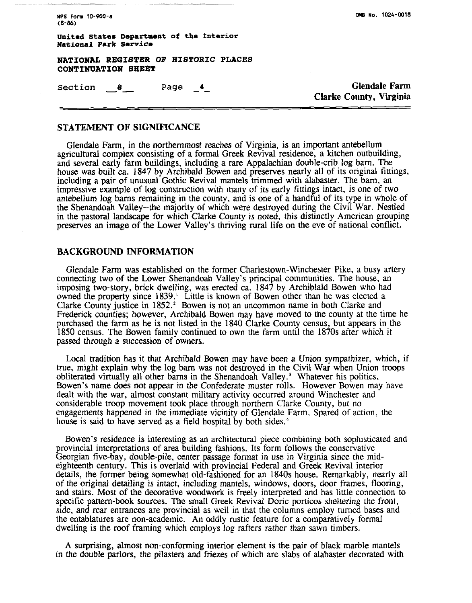NPS Form 10-900-a  $(8-86)$ 

**united States Department of the Interior National Park Service** 

**NATIONAL REGISTER OF HISTORIC PLACES CONTINUATION SHEET** 

Section *8* **Page -4-** Glendale **Farm** 

**Clarke County,** Virginia

### **STATEMENT OF SIGNIFICANCE**

Glendale Farm, in the northernmost reaches of Virginia, is an important antebellum agricultural complex consisting of a formal Greek Revival residence, a kitchen outbuilding, and several early farm buildings, including a rare Appalachian double-crib log barn. The house was built ca. 1847 by Archibald Bowen and preserves nearly all of its original fittings, including a pair of unusual Gothic Revival mantels trimmed with alabaster. The barn, an impressive example of log construction with many of its early fittings intact, is one of two antebellum log barns remaining in the county, and is one of a handful of its type in whole of the Shenandoah Valley--the majority of which were destroyed during the Civil War. Nestled in the pastoral landscape for which Clarke County is noted, this distinctly American grouping preserves an image of the Lower Valley's thriving rural life on the eve of national conflict.

### **BACKGROUND INFORMATION**

Glendale Farm was established on the former Charlestown-Winchester Pike, a busy artery connecting two of the Lower Shenandoah Valley's principal communities. The house, an imposing two-story, brick dwelling, was erected ca. 1847 by Archiblald Bowen who had owned the property since 1839.' Little is known of Bowen other than he was elected a Clarke County justice in 1852.' Bowen is not an uncommon name in both Clarke and Frederick counties; however, Archibald Bowen may have moved to the county at the time he purchased the farm as he is not listed in the 1840 Clarke County census, but appears in the 1850 census. The Bowen family continued to own the farm until the 1870s after which it passed through a succession of owners.

Local tradition has it that Archibald Bowen may have been a Union sympathizer, which, if true, might explain why the log barn was not destroyed in the Civil War when Union troops obliterated virtually all other barns in the Shenandoah Valley.' Whatever his politics, Bowen's name does not appear in the Confederate muster rolls. However Bowen may have dealt with the war, almost constant military activity occurred around Winchester and considerable troop movement took place through northern Clarke County, but no engagements happened in the immediate vicinity of Glendale Farm. Spared of action, the house is said to have served as a field hospital by both sides.<sup>4</sup>

Bowen's residence is interesting as an architectural piece combining both sophisticated and provincial interpretations of area building fashions. Its form follows the conservative Georgian five-bay, double-pile, center passage format in use in Virginia since the mideighteenth century. This is overlaid with provincial Federal and Greek Revival interior details, the former being somewhat old-fashioned for an 1840s house. Remarkably, nearly all of the original detailing is intact, including mantels, windows, doors, door frames, flooring, and stairs. Most of the decorative woodwork is freely interpreted and has little connection to specific pattern-book sources. The small Greek Revival Doric porticos sheltering the front, side, and rear entrances are provincial as well in that the columns employ turned bases and the entablatures are non-academic. An oddly rustic feature for a comparatively formal dwelling is the roof framing which employs log rafters rather than sawn timbers.

A surprising, almost non-conforming interior element is the pair of black marble mantels in the double parlors, the pilasters and friezes of which are slabs of alabaster decorated with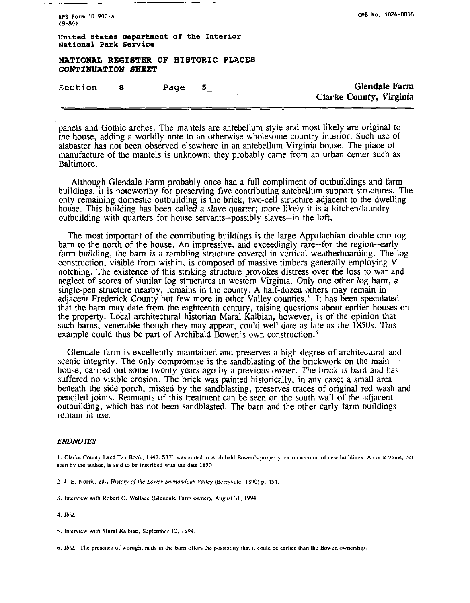**NPS Form 10-900-a**  $(8 - 86)$ 

**WB No. 1024-0018** 

**United States Department of the Interior National Park Service** 

**NAFIONAL REGISTER OF HISTORIC PLACES CONTINUATION SHEET Section** -- **<sup>8</sup>page -5- Glendale Farm** 

**Clarke County, Virginia** 

panels and Gothic arches. The mantels are antebellum style and most likely are original to the house, adding a worldly note to an otherwise wholesome country interior. Such use of alabaster has not been observed elsewhere in an antebellum Virginia house. The place of manufacture of the mantels is unknown; they probably came from an urban center such as Baltimore.

Although Glendale Farm probably once had a full compliment of outbuildings and farm buildings, it is noteworthy for preserving five contributing antebellum support structures. The only remaining domestic outbuilding is the brick, two-cell structure adjacent to the dwelling house. This building has been called a slave quarter; more likely it is a kitchen/laundry outbuilding with quarters for house servants--possibly slaves--in the loft.

The most important of the contributing buildings is the large Appalachian double-crib log barn to the north of the house. An impressive, and exceedingly rare--for the region--early farm building, the barn is a rambling structure covered in vertical weatherboarding. The log construction, visible from within, is composed of massive timbers generally employing V notching. The existence of this striking structure provokes distress over the loss to war and neglect of scores of similar log structures in western Virginia. Only one other log barn, a single-pen structure nearby, remains in the county. A half-dozen others may remain in adjacent Frederick County but few more in other Valley counties.' It has been speculated that the barn may date from the eighteenth century, raising questions about earlier houses on the property. Local architectural historian Maral Kalbian, however, is of the opinion that such barns, venerable though they may appear, could well date as late as the 1850s. This example could thus be part of Archibald Bowen's own construction. $<sup>6</sup>$ </sup>

Glendale farm is excellently maintained and preserves a high degree of architectural and scenic integrity. The only compromise is the sandblasting of the brickwork on the main house, carried out some twenty years ago by a previous owner. The brick is hard and has suffered no visible erosion. The brick was painted historically, in any case; a small area beneath the side porch, missed by the sandblasting, preserves traces of original red wash and penciled joints. Remnants of this treatment can be seen on the south wall of the adjacent putbuilding, which has not been sandblasted. The barn and the other early farm buildings remain in use.

### **ENDNOTES**

**I. Clarke County Land Tax Book. 1847.** 5370 **was added lo Archibald Bowen's propeny tax on account of new buildings. A corneraone, not**  seen by the author, is said to be inscribed with the date 1850.

- **2. I. E. Nomis. ed.,** *Hisro?y* **ojlhc** *Lower* **Shenondooh** *Volley* **(Berryville, 1890) p. 454.**
- **3. Interview with Roben C. Wallace (Glendale Farm owner). August 31, 1994**
- **4. Ibid**
- **5. Interview with Maral Kalbian, September** *I?,* **1994**
- *6.* **Ibld. The presence of wonrght nails in the barn offem the possibility that it could be earlier than he Bowen ownership**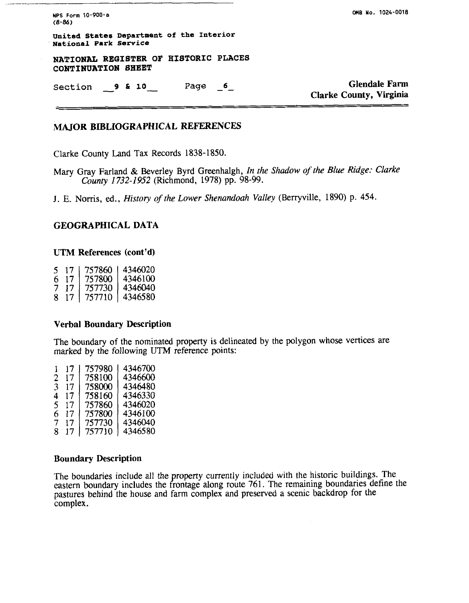**NPS Form 10-WO-a (8-86)** 

**CUE Yo. 1024-0018** 

**United States Department of the Interior National Park Service** 

**NATIONAL REGISTER OF HISTORIC PLACES CONTINUATION SHEET** 

Section **9 & 10** Page **6 Glendale Farm** 

**Clarke County, Virginia** 

# **MAJOR BIBLIOGRAPHICAL REFERENCES**

Clarke County Land Tax Records 1838-1850.

Mary Gray Farland & Beverley Byrd Greenhalgh, *In the Shadow of the Blue Ridge: Clarke County* 1732-1952 (Richmond, 1978) pp. 98-99.

J. E. Norris, ed.. *History of the Lower Shenandoah Valley* (Berryville, 1890) p. 454.

# **GEOGRAPHICAL DATA**

### **UTM References (cont'd)**

| 5. | 17 | 757860 | 4346020 |
|----|----|--------|---------|
| h  | 17 | 757800 | 4346100 |
| 7  | 17 | 757730 | 4346040 |
| 8  | 17 | 757710 | 4346580 |

## **Verbal Boundary Description**

The boundary of the nominated property is delineated by the polygon whose vertices are marked by the following UTM reference points:

| 1 | 17 | 757980 | 4346700 |
|---|----|--------|---------|
| 2 | 17 | 758100 | 4346600 |
| 3 | 17 | 758000 | 4346480 |
| 4 | 17 | 758160 | 4346330 |
| 5 | 17 | 757860 | 4346020 |
| 6 | 17 | 757800 | 4346100 |
| 7 | 17 | 757730 | 4346040 |
| 8 | 17 | 757710 | 4346580 |
|   |    |        |         |

## **Boundary Description**

The boundaries include all the property currently included with the historic buildings. The eastern boundary includes the frontage along route 761. The remaining boundaries define the pastures behind the house and farm complex and preserved a scenic backdrop for the complex.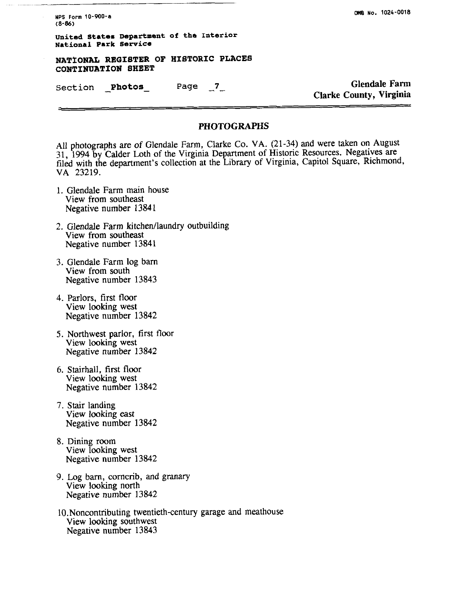**NPS Form 10-900-0 (8-86)** 

**United states Department of the Interior National Park Service** 

**NATZONAL REGISTER OF HISTORIC PLACES CONTINUATION SHEET** 

**section** Photos Page 7 **Glendale Farm** 

Clarke County, Virginia

# **PHOTOGRAPHS**

All photographs are of Glendale Farm, Clarke Co. VA. (21-34) and were taken on August 31, 1994 by Calder Loth of the Virginia Department of Historic Resources. Negatives are filed with the department's collection at the Library of Virginia, Capitol Square, Richmond, VA 23219.

- 1. Glendale Farm main house View from southeast Negative number 13841
- 2. Glendale Farm kitchen/laundry outbuilding<br>View from southeast Negative number 13841
- 3. Glendale Farm log barn View from south Negative number 13843
- 4. Parlors, first floor View looking west Negative number 13842
- 5. Northwest parlor, first floor View looking west Negative number 13842
- 6. Stairhall, first floor View looking west Negative number 13842
- 7. Stair landing View looking east Negative number 13842
- 8. Dining room View looking west Negative number 13842
- 9. Log barn, corncrib, and granary View looking north Negative number 13842
- 10.Noncontributing twentieth-century garage and meathouse View looking southwest Negative number 13843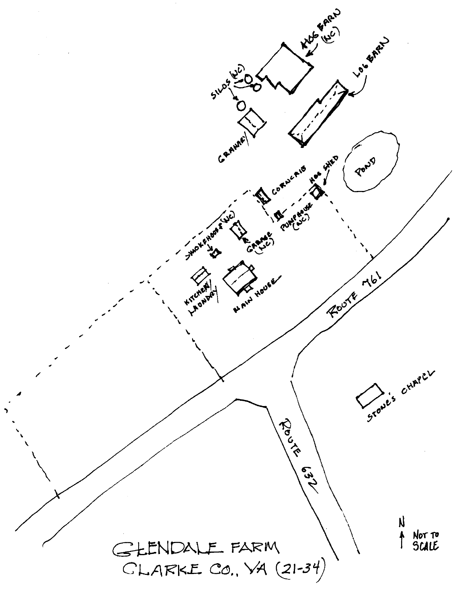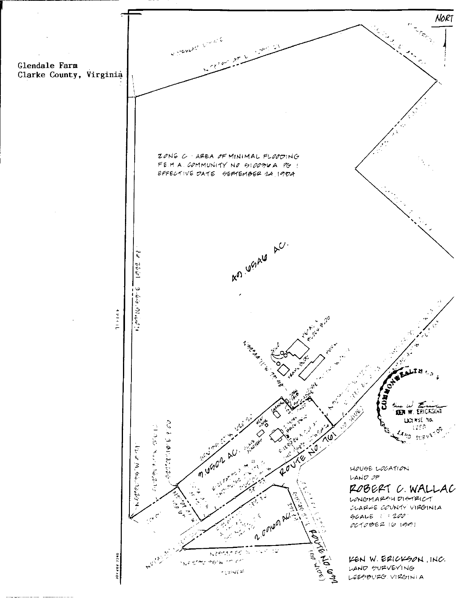